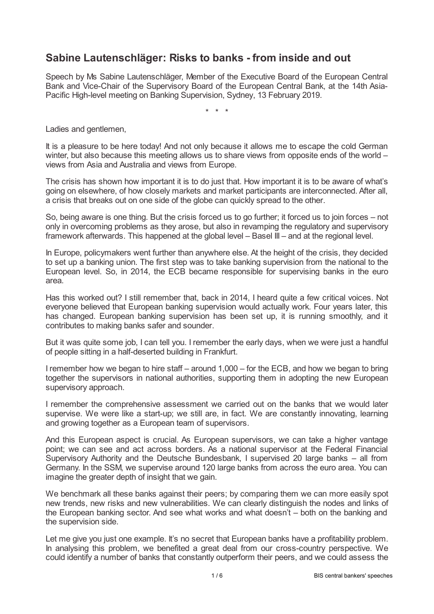## **Sabine Lautenschläger: Risks to banks - from inside and out**

Speech by Ms Sabine Lautenschläger, Member of the Executive Board of the European Central Bank and Vice-Chair of the Supervisory Board of the European Central Bank, at the 14th Asia-Pacific High-level meeting on Banking Supervision, Sydney, 13 February 2019.

\* \* \*

Ladies and gentlemen,

It is a pleasure to be here today! And not only because it allows me to escape the cold German winter, but also because this meeting allows us to share views from opposite ends of the world – views from Asia and Australia and views from Europe.

The crisis has shown how important it is to do just that. How important it is to be aware of what's going on elsewhere, of how closely markets and market participants are interconnected. After all, a crisis that breaks out on one side of the globe can quickly spread to the other.

So, being aware is one thing. But the crisis forced us to go further; it forced us to join forces – not only in overcoming problems as they arose, but also in revamping the regulatory and supervisory framework afterwards. This happened at the global level – Basel III – and at the regional level.

In Europe, policymakers went further than anywhere else. At the height of the crisis, they decided to set up a banking union. The first step was to take banking supervision from the national to the European level. So, in 2014, the ECB became responsible for supervising banks in the euro area.

Has this worked out? I still remember that, back in 2014, I heard quite a few critical voices. Not everyone believed that European banking supervision would actually work. Four years later, this has changed. European banking supervision has been set up, it is running smoothly, and it contributes to making banks safer and sounder.

But it was quite some job, I can tell you. I remember the early days, when we were just a handful of people sitting in a half-deserted building in Frankfurt.

I remember how we began to hire staff – around 1,000 – for the ECB, and how we began to bring together the supervisors in national authorities, supporting them in adopting the new European supervisory approach.

I remember the comprehensive assessment we carried out on the banks that we would later supervise. We were like a start-up; we still are, in fact. We are constantly innovating, learning and growing together as a European team of supervisors.

And this European aspect is crucial. As European supervisors, we can take a higher vantage point; we can see and act across borders. As a national supervisor at the Federal Financial Supervisory Authority and the Deutsche Bundesbank, I supervised 20 large banks – all from Germany. In the SSM, we supervise around 120 large banks from across the euro area. You can imagine the greater depth of insight that we gain.

We benchmark all these banks against their peers; by comparing them we can more easily spot new trends, new risks and new vulnerabilities. We can clearly distinguish the nodes and links of the European banking sector. And see what works and what doesn't – both on the banking and the supervision side.

Let me give you just one example. It's no secret that European banks have a profitability problem. In analysing this problem, we benefited a great deal from our cross-country perspective. We could identify a number of banks that constantly outperform their peers, and we could assess the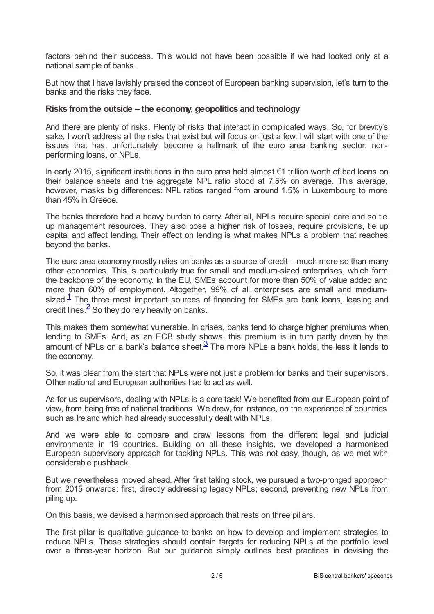factors behind their success. This would not have been possible if we had looked only at a national sample of banks.

But now that I have lavishly praised the concept of European banking supervision, let's turn to the banks and the risks they face.

## **Risks fromthe outside – the economy, geopolitics and technology**

And there are plenty of risks. Plenty of risks that interact in complicated ways. So, for brevity's sake, I won't address all the risks that exist but will focus on just a few. I will start with one of the issues that has, unfortunately, become a hallmark of the euro area banking sector: nonperforming loans, or NPLs.

In early 2015, significant institutions in the euro area held almost €1 trillion worth of bad loans on their balance sheets and the aggregate NPL ratio stood at 7.5% on average. This average, however, masks big differences: NPL ratios ranged from around 1.5% in Luxembourg to more than 45% in Greece.

The banks therefore had a heavy burden to carry. After all, NPLs require special care and so tie up management resources. They also pose a higher risk of losses, require provisions, tie up capital and affect lending. Their effect on lending is what makes NPLs a problem that reaches beyond the banks.

The euro area economy mostly relies on banks as a source of credit – much more so than many other economies. This is particularly true for small and medium-sized enterprises, which form the backbone of the economy. In the EU, SMEs account for more than 50% of value added and more than 60% of employment. Altogether, 99% of all enterprises are small and mediumsized. $1$  The three most important sources of financing for SMEs are bank loans, leasing and credit lines. $\frac{2}{5}$  $\frac{2}{5}$  $\frac{2}{5}$  So they do rely heavily on banks.

<span id="page-1-2"></span><span id="page-1-1"></span><span id="page-1-0"></span>This makes them somewhat vulnerable. In crises, banks tend to charge higher premiums when lending to SMEs. And, as an ECB study shows, this premium is in turn partly driven by the amount of NPLs on a bank's balance sheet. $\frac{3}{2}$  $\frac{3}{2}$  $\frac{3}{2}$  The more NPLs a bank holds, the less it lends to the economy.

So, it was clear from the start that NPLs were not just a problem for banks and their supervisors. Other national and European authorities had to act as well.

As for us supervisors, dealing with NPLs is a core task! We benefited from our European point of view, from being free of national traditions. We drew, for instance, on the experience of countries such as Ireland which had already successfully dealt with NPLs.

And we were able to compare and draw lessons from the different legal and judicial environments in 19 countries. Building on all these insights, we developed a harmonised European supervisory approach for tackling NPLs. This was not easy, though, as we met with considerable pushback.

But we nevertheless moved ahead. After first taking stock, we pursued a two-pronged approach from 2015 onwards: first, directly addressing legacy NPLs; second, preventing new NPLs from piling up.

On this basis, we devised a harmonised approach that rests on three pillars.

The first pillar is qualitative guidance to banks on how to develop and implement strategies to reduce NPLs. These strategies should contain targets for reducing NPLs at the portfolio level over a three-year horizon. But our guidance simply outlines best practices in devising the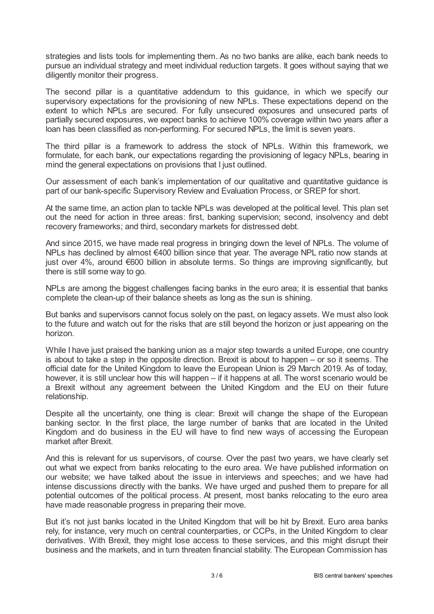strategies and lists tools for implementing them. As no two banks are alike, each bank needs to pursue an individual strategy and meet individual reduction targets. It goes without saying that we diligently monitor their progress.

The second pillar is a quantitative addendum to this guidance, in which we specify our supervisory expectations for the provisioning of new NPLs. These expectations depend on the extent to which NPLs are secured. For fully unsecured exposures and unsecured parts of partially secured exposures, we expect banks to achieve 100% coverage within two years after a loan has been classified as non-performing. For secured NPLs, the limit is seven years.

The third pillar is a framework to address the stock of NPLs. Within this framework, we formulate, for each bank, our expectations regarding the provisioning of legacy NPLs, bearing in mind the general expectations on provisions that I just outlined.

Our assessment of each bank's implementation of our qualitative and quantitative guidance is part of our bank-specific Supervisory Review and Evaluation Process, or SREP for short.

At the same time, an action plan to tackle NPLs was developed at the political level. This plan set out the need for action in three areas: first, banking supervision; second, insolvency and debt recovery frameworks; and third, secondary markets for distressed debt.

And since 2015, we have made real progress in bringing down the level of NPLs. The volume of NPLs has declined by almost €400 billion since that year. The average NPL ratio now stands at just over 4%, around €600 billion in absolute terms. So things are improving significantly, but there is still some way to go.

NPLs are among the biggest challenges facing banks in the euro area; it is essential that banks complete the clean-up of their balance sheets as long as the sun is shining.

But banks and supervisors cannot focus solely on the past, on legacy assets. We must also look to the future and watch out for the risks that are still beyond the horizon or just appearing on the horizon.

While I have just praised the banking union as a major step towards a united Europe, one country is about to take a step in the opposite direction. Brexit is about to happen – or so it seems. The official date for the United Kingdom to leave the European Union is 29 March 2019. As of today, however, it is still unclear how this will happen – if it happens at all. The worst scenario would be a Brexit without any agreement between the United Kingdom and the EU on their future relationship.

Despite all the uncertainty, one thing is clear: Brexit will change the shape of the European banking sector. In the first place, the large number of banks that are located in the United Kingdom and do business in the EU will have to find new ways of accessing the European market after Brexit.

And this is relevant for us supervisors, of course. Over the past two years, we have clearly set out what we expect from banks relocating to the euro area. We have published information on our website; we have talked about the issue in interviews and speeches; and we have had intense discussions directly with the banks. We have urged and pushed them to prepare for all potential outcomes of the political process. At present, most banks relocating to the euro area have made reasonable progress in preparing their move.

But it's not just banks located in the United Kingdom that will be hit by Brexit. Euro area banks rely, for instance, very much on central counterparties, or CCPs, in the United Kingdom to clear derivatives. With Brexit, they might lose access to these services, and this might disrupt their business and the markets, and in turn threaten financial stability. The European Commission has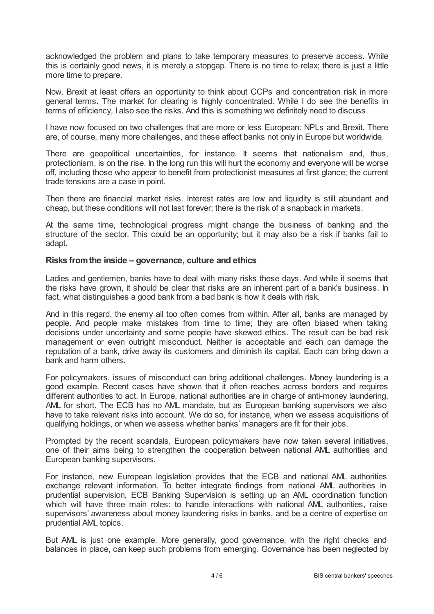acknowledged the problem and plans to take temporary measures to preserve access. While this is certainly good news, it is merely a stopgap. There is no time to relax; there is just a little more time to prepare.

Now, Brexit at least offers an opportunity to think about CCPs and concentration risk in more general terms. The market for clearing is highly concentrated. While I do see the benefits in terms of efficiency, I also see the risks. And this is something we definitely need to discuss.

I have now focused on two challenges that are more or less European: NPLs and Brexit. There are, of course, many more challenges, and these affect banks not only in Europe but worldwide.

There are geopolitical uncertainties, for instance. It seems that nationalism and, thus, protectionism, is on the rise. In the long run this will hurt the economy and everyone will be worse off, including those who appear to benefit from protectionist measures at first glance; the current trade tensions are a case in point.

Then there are financial market risks. Interest rates are low and liquidity is still abundant and cheap, but these conditions will not last forever; there is the risk of a snapback in markets.

At the same time, technological progress might change the business of banking and the structure of the sector. This could be an opportunity; but it may also be a risk if banks fail to adapt.

## **Risks fromthe inside – governance, culture and ethics**

Ladies and gentlemen, banks have to deal with many risks these days. And while it seems that the risks have grown, it should be clear that risks are an inherent part of a bank's business. In fact, what distinguishes a good bank from a bad bank is how it deals with risk.

And in this regard, the enemy all too often comes from within. After all, banks are managed by people. And people make mistakes from time to time; they are often biased when taking decisions under uncertainty and some people have skewed ethics. The result can be bad risk management or even outright misconduct. Neither is acceptable and each can damage the reputation of a bank, drive away its customers and diminish its capital. Each can bring down a bank and harm others.

For policymakers, issues of misconduct can bring additional challenges. Money laundering is a good example. Recent cases have shown that it often reaches across borders and requires different authorities to act. In Europe, national authorities are in charge of anti-money laundering, AML for short. The ECB has no AML mandate, but as European banking supervisors we also have to take relevant risks into account. We do so, for instance, when we assess acquisitions of qualifying holdings, or when we assess whether banks' managers are fit for their jobs.

Prompted by the recent scandals, European policymakers have now taken several initiatives, one of their aims being to strengthen the cooperation between national AML authorities and European banking supervisors.

For instance, new European legislation provides that the ECB and national AML authorities exchange relevant information. To better integrate findings from national AML authorities in prudential supervision, ECB Banking Supervision is setting up an AML coordination function which will have three main roles: to handle interactions with national AML authorities, raise supervisors' awareness about money laundering risks in banks, and be a centre of expertise on prudential AML topics.

But AML is just one example. More generally, good governance, with the right checks and balances in place, can keep such problems from emerging. Governance has been neglected by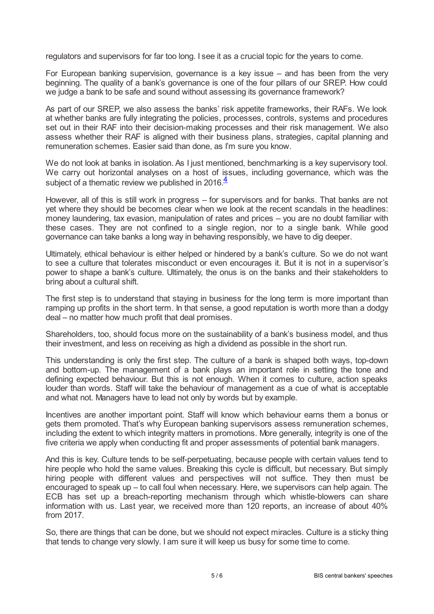regulators and supervisors for far too long. I see it as a crucial topic for the years to come.

For European banking supervision, governance is a key issue – and has been from the very beginning. The quality of a bank's governance is one of the four pillars of our SREP. How could we judge a bank to be safe and sound without assessing its governance framework?

As part of our SREP, we also assess the banks' risk appetite frameworks, their RAFs. We look at whether banks are fully integrating the policies, processes, controls, systems and procedures set out in their RAF into their decision-making processes and their risk management. We also assess whether their RAF is aligned with their business plans, strategies, capital planning and remuneration schemes. Easier said than done, as I'm sure you know.

We do not look at banks in isolation. As I just mentioned, benchmarking is a key supervisory tool. We carry out horizontal analyses on a host of issues, including governance, which was the subject of a thematic review we published in 2016. $\frac{4}{3}$  $\frac{4}{3}$  $\frac{4}{3}$ 

<span id="page-4-0"></span>However, all of this is still work in progress – for supervisors and for banks. That banks are not yet where they should be becomes clear when we look at the recent scandals in the headlines: money laundering, tax evasion, manipulation of rates and prices – you are no doubt familiar with these cases. They are not confined to a single region, nor to a single bank. While good governance can take banks a long way in behaving responsibly, we have to dig deeper.

Ultimately, ethical behaviour is either helped or hindered by a bank's culture. So we do not want to see a culture that tolerates misconduct or even encourages it. But it is not in a supervisor's power to shape a bank's culture. Ultimately, the onus is on the banks and their stakeholders to bring about a cultural shift.

The first step is to understand that staying in business for the long term is more important than ramping up profits in the short term. In that sense, a good reputation is worth more than a dodgy deal – no matter how much profit that deal promises.

Shareholders, too, should focus more on the sustainability of a bank's business model, and thus their investment, and less on receiving as high a dividend as possible in the short run.

This understanding is only the first step. The culture of a bank is shaped both ways, top-down and bottom-up. The management of a bank plays an important role in setting the tone and defining expected behaviour. But this is not enough. When it comes to culture, action speaks louder than words. Staff will take the behaviour of management as a cue of what is acceptable and what not. Managers have to lead not only by words but by example.

Incentives are another important point. Staff will know which behaviour earns them a bonus or gets them promoted. That's why European banking supervisors assess remuneration schemes, including the extent to which integrity matters in promotions. More generally, integrity is one of the five criteria we apply when conducting fit and proper assessments of potential bank managers.

And this is key. Culture tends to be self-perpetuating, because people with certain values tend to hire people who hold the same values. Breaking this cycle is difficult, but necessary. But simply hiring people with different values and perspectives will not suffice. They then must be encouraged to speak up – to call foul when necessary. Here, we supervisors can help again. The ECB has set up a breach-reporting mechanism through which whistle-blowers can share information with us. Last year, we received more than 120 reports, an increase of about 40% from 2017.

So, there are things that can be done, but we should not expect miracles. Culture is a sticky thing that tends to change very slowly. I am sure it will keep us busy for some time to come.